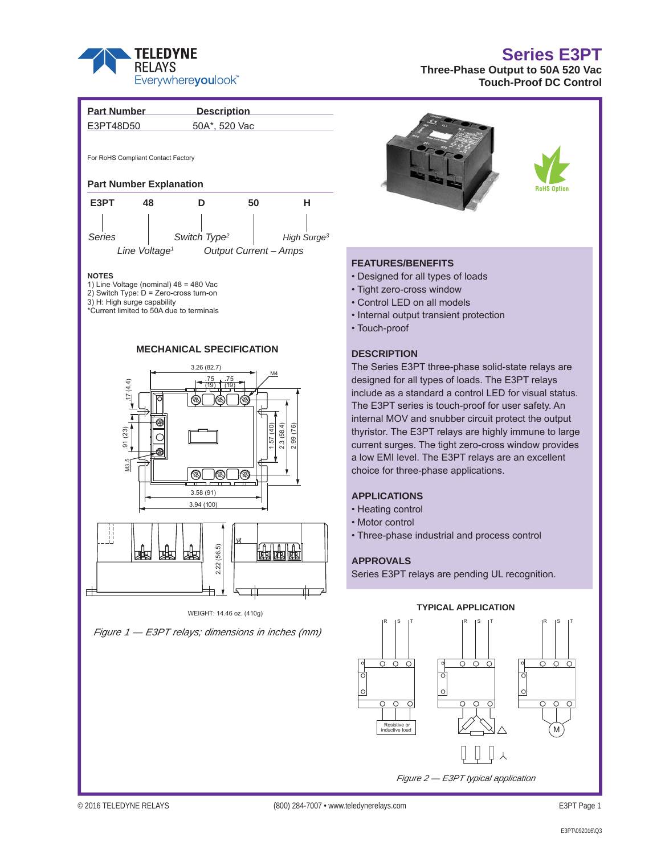

## **Series E3PT**

**Three-Phase Output to 50A 520 Vac Touch-Proof DC Control**



*Figure 2 — E3PT typical application*

 $\mathbb{Z}$  inductive load  $\mathbb{Z}$   $\mathbb{Z}$   $\mathbb{N}$   $\mathbb{N}$  (M

Resistive or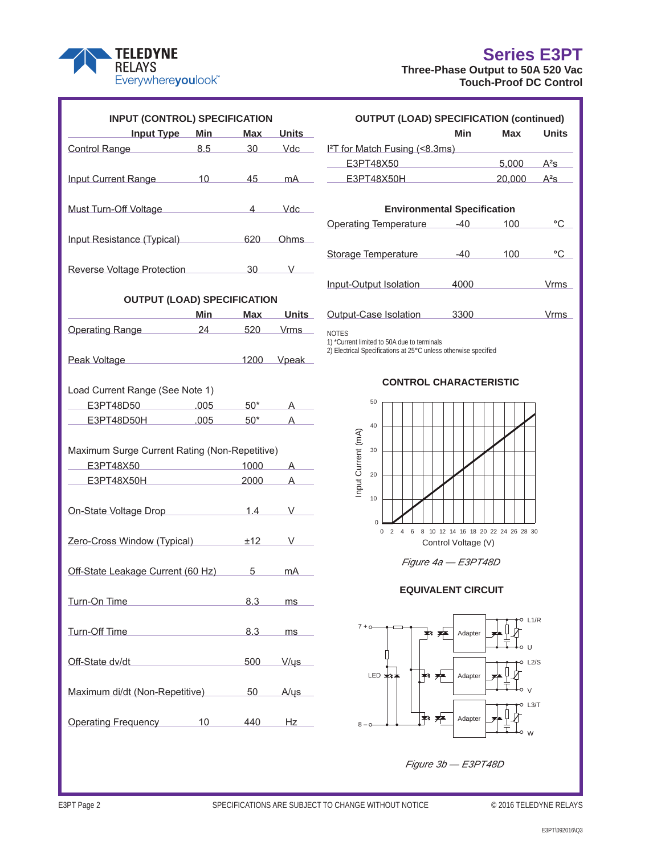## **Series E3PT**



| <b>TELEDYNE</b><br><b>RELAYS</b><br>Everywhereyoulook |  |
|-------------------------------------------------------|--|
| <b>INPUT (CONTROL) SPECIFI</b><br>$Inuit:$ Tuno       |  |

| <b>INPUT (CONTROL) SPECIFICATION</b>               |                                                   |                 |                                    | <b>OUTPUT (LOAD) SPECIFICATION (continued)</b>                                    |            |              |  |
|----------------------------------------------------|---------------------------------------------------|-----------------|------------------------------------|-----------------------------------------------------------------------------------|------------|--------------|--|
| Input Type Min                                     |                                                   | <b>Max</b>      | <b>Units</b>                       | Min                                                                               | Max        | <b>Units</b> |  |
| 8.5<br>Control Range                               |                                                   | 30 <sup>°</sup> | Vdc                                | I <sup>2</sup> T for Match Fusing (<8.3ms)                                        |            |              |  |
|                                                    |                                                   |                 |                                    | 5,000<br>E3PT48X50                                                                |            | $A^2S$       |  |
| Input Current Range 10                             |                                                   | 45              | mA                                 | E3PT48X50H                                                                        | 20,000     | $A^2S$       |  |
|                                                    |                                                   |                 |                                    |                                                                                   |            |              |  |
| Vdc<br>Must Turn-Off Voltage<br>$\overline{4}$     |                                                   |                 | <b>Environmental Specification</b> |                                                                                   |            |              |  |
|                                                    |                                                   |                 |                                    | <b>Operating Temperature</b><br>$-40$                                             | 100        | $^{\circ}$ C |  |
| Input Resistance (Typical) <b>Input Resistance</b> |                                                   | 620             | <b>Ohms</b>                        |                                                                                   |            |              |  |
|                                                    |                                                   |                 |                                    | Storage Temperature<br>$-40$                                                      | 100        | $^{\circ}$ C |  |
| Reverse Voltage Protection                         |                                                   | 30              | V                                  |                                                                                   |            |              |  |
|                                                    |                                                   |                 |                                    | Input-Output Isolation<br>4000                                                    |            | Vrms         |  |
| <b>OUTPUT (LOAD) SPECIFICATION</b>                 |                                                   |                 |                                    |                                                                                   |            |              |  |
|                                                    | <b>Min</b>                                        | <b>Max</b>      | <b>Units</b>                       | 3300<br>Output-Case Isolation                                                     |            | Vrms         |  |
| Operating Range                                    | 24                                                | 520             | <b>Vrms</b>                        |                                                                                   |            |              |  |
|                                                    |                                                   |                 |                                    | <b>NOTES</b><br>1) *Current limited to 50A due to terminals                       |            |              |  |
|                                                    | $\sim$ 1200                                       |                 |                                    | 2) Electrical Specifications at 25°C unless otherwise specified                   |            |              |  |
| Peak Voltage                                       |                                                   |                 | Vpeak                              |                                                                                   |            |              |  |
|                                                    |                                                   |                 |                                    | <b>CONTROL CHARACTERISTIC</b>                                                     |            |              |  |
| Load Current Range (See Note 1)                    |                                                   |                 |                                    | 50                                                                                |            |              |  |
| E3PT48D50                                          | .005                                              | $50*$           |                                    |                                                                                   |            |              |  |
| E3PT48D50H                                         | .005                                              | $50*$           | A                                  | 40                                                                                |            |              |  |
|                                                    |                                                   |                 |                                    | Input Current (mA)                                                                |            |              |  |
| Maximum Surge Current Rating (Non-Repetitive)      |                                                   |                 | 30                                 |                                                                                   |            |              |  |
| E3PT48X50                                          | <u> 1980 - Johann Barnett, fransk politiker (</u> | 1000            | A                                  | 20                                                                                |            |              |  |
| E3PT48X50H                                         |                                                   | 2000            | A                                  |                                                                                   |            |              |  |
|                                                    |                                                   |                 |                                    | 10                                                                                |            |              |  |
| On-State Voltage Drop 1.4 V                        |                                                   |                 |                                    |                                                                                   |            |              |  |
|                                                    |                                                   |                 |                                    | $\Omega$<br>8 10 12 14 16 18 20 22 24 26 28 30<br>$\mathbf 0$<br>$2 \quad 4$<br>6 |            |              |  |
| Zero-Cross Window (Typical) +12 V                  |                                                   |                 |                                    | Control Voltage (V)                                                               |            |              |  |
|                                                    |                                                   |                 |                                    | Figure 4a - E3PT48D                                                               |            |              |  |
| Off-State Leakage Current (60 Hz)                  |                                                   | 5               | mA                                 |                                                                                   |            |              |  |
|                                                    |                                                   |                 |                                    | <b>EQUIVALENT CIRCUIT</b>                                                         |            |              |  |
| Turn-On Time                                       |                                                   | 8.3             | ms                                 |                                                                                   |            |              |  |
|                                                    |                                                   |                 |                                    |                                                                                   | O L1/R     |              |  |
| Turn-Off Time                                      |                                                   | 8.3             | ms                                 | $7 + o$<br>Adapter<br>≠ะ<br>产                                                     |            |              |  |
|                                                    |                                                   |                 |                                    |                                                                                   | $\cup$     |              |  |
| Off-State dv/dt                                    |                                                   | 500             | V/ys                               |                                                                                   | L2/S       |              |  |
|                                                    |                                                   |                 |                                    | क्⊀ अ≖<br>LED $\neq$<br>Adapter                                                   |            |              |  |
| Maximum di/dt (Non-Repetitive)                     |                                                   | 50              | $A/\psi s$                         |                                                                                   |            |              |  |
|                                                    |                                                   |                 |                                    |                                                                                   | L3/T<br>-0 |              |  |
| Operating Frequency                                | 10                                                | 440             | Hz                                 | ☀ ★<br>Adapter<br>$8 - 0$                                                         |            |              |  |
|                                                    |                                                   |                 |                                    |                                                                                   | W          |              |  |
|                                                    |                                                   |                 |                                    |                                                                                   |            |              |  |

*Figure 3b — E3PT48D*